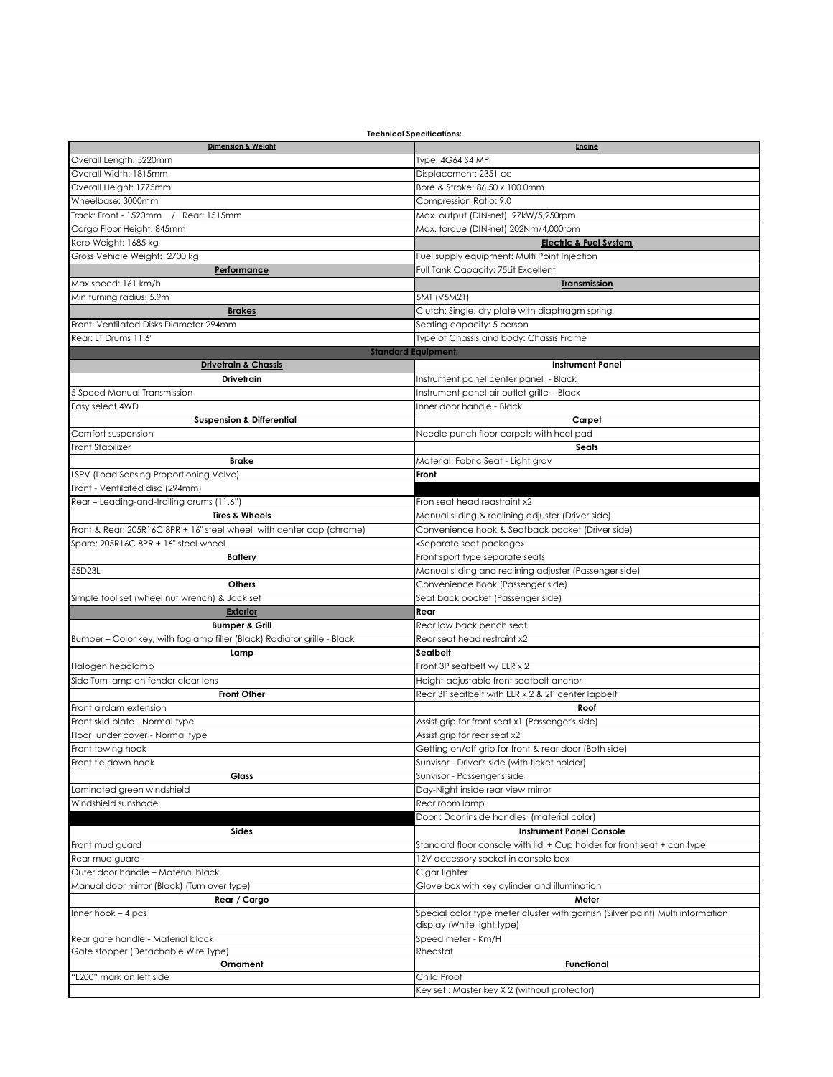| <b>Technical Specifications:</b>                                        |                                                                                |
|-------------------------------------------------------------------------|--------------------------------------------------------------------------------|
| <b>Dimension &amp; Weight</b>                                           | Engine                                                                         |
| Overall Length: 5220mm                                                  | Type: 4G64 S4 MPI                                                              |
| Overall Width: 1815mm                                                   | Displacement: 2351 cc                                                          |
| Overall Height: 1775mm                                                  | Bore & Stroke: 86.50 x 100.0mm                                                 |
|                                                                         |                                                                                |
| Wheelbase: 3000mm                                                       | Compression Ratio: 9.0                                                         |
| Track: Front - 1520mm<br>/ Rear: 1515mm                                 | Max. output (DIN-net) 97kW/5,250rpm                                            |
| Cargo Floor Height: 845mm                                               | Max. torque (DIN-net) 202Nm/4,000rpm                                           |
| Kerb Weight: 1685 kg                                                    | <b>Electric &amp; Fuel System</b>                                              |
| Gross Vehicle Weight: 2700 kg                                           | Fuel supply equipment: Multi Point Injection                                   |
| Performance                                                             | Full Tank Capacity: 75Lit Excellent                                            |
| Max speed: 161 km/h                                                     | <b>Transmission</b>                                                            |
|                                                                         |                                                                                |
| Min turning radius: 5.9m                                                | 5MT (V5M21)                                                                    |
| <b>Brakes</b>                                                           | Clutch: Single, dry plate with diaphragm spring                                |
| Front: Ventilated Disks Diameter 294mm                                  | Seating capacity: 5 person                                                     |
| Rear: LT Drums 11.6'                                                    | Type of Chassis and body: Chassis Frame                                        |
|                                                                         | <b>Standard Equipment:</b>                                                     |
| <b>Drivetrain &amp; Chassis</b>                                         | <b>Instrument Panel</b>                                                        |
| Drivetrain                                                              | Instrument panel center panel - Black                                          |
| 5 Speed Manual Transmission                                             | Instrument panel air outlet grille - Black                                     |
|                                                                         |                                                                                |
| Easy select 4WD                                                         | Inner door handle - Black                                                      |
| <b>Suspension &amp; Differential</b>                                    | Carpet                                                                         |
| Comfort suspension                                                      | Needle punch floor carpets with heel pad                                       |
| Front Stabilizer                                                        | Seats                                                                          |
| <b>Brake</b>                                                            | Material: Fabric Seat - Light gray                                             |
| LSPV (Load Sensing Proportioning Valve)                                 | Front                                                                          |
|                                                                         |                                                                                |
| Front - Ventilated disc (294mm)                                         |                                                                                |
| Rear - Leading-and-trailing drums (11.6")                               | Fron seat head reastraint x2                                                   |
| <b>Tires &amp; Wheels</b>                                               | Manual sliding & reclining adjuster (Driver side)                              |
| Front & Rear: 205R16C 8PR + 16" steel wheel with center cap (chrome)    | Convenience hook & Seatback pocket (Driver side)                               |
| Spare: 205R16C 8PR + 16" steel wheel                                    | <separate package="" seat=""></separate>                                       |
| <b>Battery</b>                                                          | Front sport type separate seats                                                |
| 55D23L                                                                  | Manual sliding and reclining adjuster (Passenger side)                         |
| Others                                                                  | Convenience hook (Passenger side)                                              |
|                                                                         |                                                                                |
| Simple tool set (wheel nut wrench) & Jack set                           | Seat back pocket (Passenger side)                                              |
| <b>Exterior</b>                                                         | Rear                                                                           |
| <b>Bumper &amp; Grill</b>                                               | Rear low back bench seat                                                       |
| Bumper - Color key, with foglamp filler (Black) Radiator grille - Black | Rear seat head restraint x2                                                    |
| Lamp                                                                    | Seatbelt                                                                       |
| Halogen headlamp                                                        | Front 3P seatbelt w/ ELR x 2                                                   |
|                                                                         |                                                                                |
|                                                                         |                                                                                |
| Side Turn lamp on fender clear lens                                     | Height-adjustable front seatbelt anchor                                        |
| <b>Front Other</b>                                                      | Rear 3P seatbelt with ELR x 2 & 2P center lapbelt                              |
| Front airdam extension                                                  | Roof                                                                           |
| Front skid plate - Normal type                                          | Assist grip for front seat x1 (Passenger's side)                               |
| Floor under cover - Normal type                                         | Assist grip for rear seat x2                                                   |
| Front towing hook                                                       | Getting on/off grip for front & rear door (Both side)                          |
| Front tie down hook                                                     |                                                                                |
|                                                                         | Sunvisor - Driver's side (with ticket holder)                                  |
| Glass                                                                   | Sunvisor - Passenger's side                                                    |
| aminated green windshield.                                              | Day-Night inside rear view mirror                                              |
| Windshield sunshade                                                     | Rear room lamp                                                                 |
|                                                                         | Door: Door inside handles (material color)                                     |
| Sides                                                                   | <b>Instrument Panel Console</b>                                                |
| Front mud guard                                                         | Standard floor console with lid '+ Cup holder for front seat + can type        |
| Rear mud guard                                                          | 12V accessory socket in console box                                            |
| Outer door handle – Material black                                      |                                                                                |
|                                                                         | Cigar lighter                                                                  |
| Manual door mirror (Black) (Turn over type)                             | Glove box with key cylinder and illumination                                   |
| Rear / Cargo                                                            | Meter                                                                          |
| $nner hook - 4 pcs$                                                     | Special color type meter cluster with garnish (Silver paint) Multi information |
|                                                                         | display (White light type)                                                     |
| Rear gate handle - Material black                                       | Speed meter - Km/H                                                             |
| Gate stopper (Detachable Wire Type)                                     | Rheostat                                                                       |
| Ornament                                                                | <b>Functional</b>                                                              |
| 'L200" mark on left side                                                | Child Proof                                                                    |